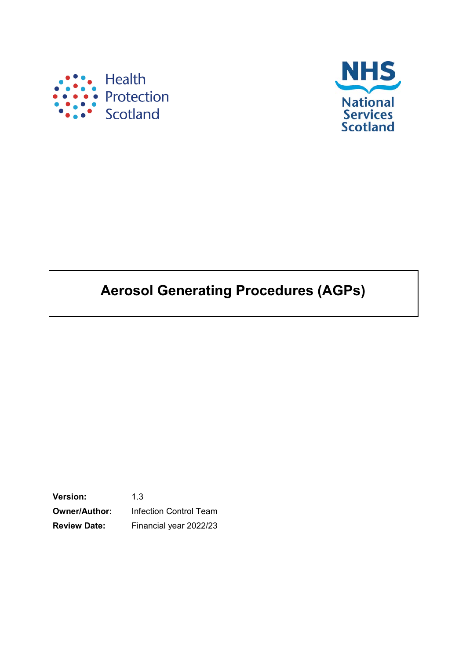



# **Aerosol Generating Procedures (AGPs)**

**Version:** 1.3 **Owner/Author:** Infection Control Team **Review Date:** Financial year 2022/23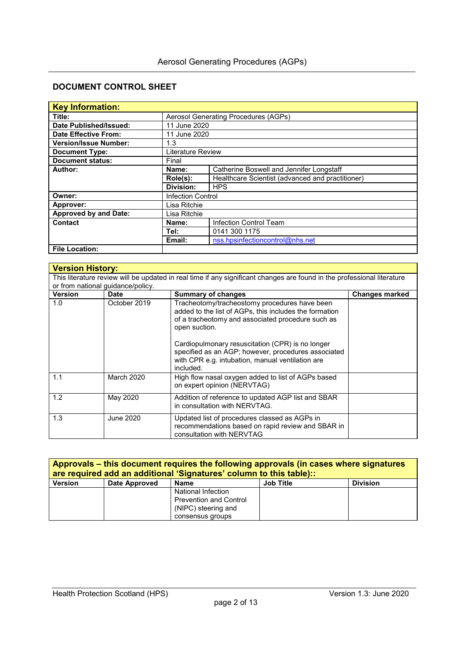### **DOCUMENT CONTROL SHEET**

| <b>Key Information:</b>      |                                           |                                                  |  |  |
|------------------------------|-------------------------------------------|--------------------------------------------------|--|--|
| Title:                       | Aerosol Generating Procedures (AGPs)      |                                                  |  |  |
| Date Published/Issued:       |                                           | 11 June 2020                                     |  |  |
| <b>Date Effective From:</b>  |                                           | 11 June 2020                                     |  |  |
| <b>Version/Issue Number:</b> | 1.3                                       |                                                  |  |  |
| <b>Document Type:</b>        | Literature Review                         |                                                  |  |  |
| <b>Document status:</b>      | Final                                     |                                                  |  |  |
| Author:                      | Name:                                     | Catherine Boswell and Jennifer Longstaff         |  |  |
|                              | $Role(s)$ :                               | Healthcare Scientist (advanced and practitioner) |  |  |
|                              | Division:                                 | <b>HPS</b>                                       |  |  |
| Owner:                       |                                           | <b>Infection Control</b>                         |  |  |
| Approver:                    | Lisa Ritchie                              |                                                  |  |  |
| <b>Approved by and Date:</b> | Lisa Ritchie                              |                                                  |  |  |
| Contact<br>Name:             |                                           | Infection Control Team                           |  |  |
|                              | 0141 300 1175<br>Tel:                     |                                                  |  |  |
|                              | nss.hpsinfectioncontrol@nhs.net<br>Email: |                                                  |  |  |
| <b>File Location:</b>        |                                           |                                                  |  |  |

#### **Version History:**

This literature review will be updated in real time if any significant changes are found in the professional literature or from national guidance/policy.

| <b>Version</b> | 0.  o aoa. ga.aaoo,po.o,.<br><b>Date</b> | <b>Summary of changes</b>                                                                                                                                                     | <b>Changes marked</b> |
|----------------|------------------------------------------|-------------------------------------------------------------------------------------------------------------------------------------------------------------------------------|-----------------------|
| 1.0            | October 2019                             | Tracheotomy/tracheostomy procedures have been<br>added to the list of AGPs, this includes the formation<br>of a tracheotomy and associated procedure such as<br>open suction. |                       |
|                |                                          | Cardiopulmonary resuscitation (CPR) is no longer<br>specified as an AGP; however, procedures associated<br>with CPR e.g. intubation, manual ventilation are<br>included.      |                       |
| 1.1            | <b>March 2020</b>                        | High flow nasal oxygen added to list of AGPs based<br>on expert opinion (NERVTAG)                                                                                             |                       |
| 1.2            | May 2020                                 | Addition of reference to updated AGP list and SBAR<br>in consultation with NERVTAG.                                                                                           |                       |
| 1.3            | June 2020                                | Updated list of procedures classed as AGPs in<br>recommendations based on rapid review and SBAR in<br>consultation with NERVTAG                                               |                       |

| Approvals – this document requires the following approvals (in cases where signatures<br>are required add an additional 'Signatures' column to this table):: |               |                               |                  |                 |
|--------------------------------------------------------------------------------------------------------------------------------------------------------------|---------------|-------------------------------|------------------|-----------------|
| <b>Version</b>                                                                                                                                               | Date Approved | Name                          | <b>Job Title</b> | <b>Division</b> |
|                                                                                                                                                              |               | National Infection            |                  |                 |
|                                                                                                                                                              |               | <b>Prevention and Control</b> |                  |                 |
|                                                                                                                                                              |               | (NIPC) steering and           |                  |                 |
|                                                                                                                                                              |               | consensus groups              |                  |                 |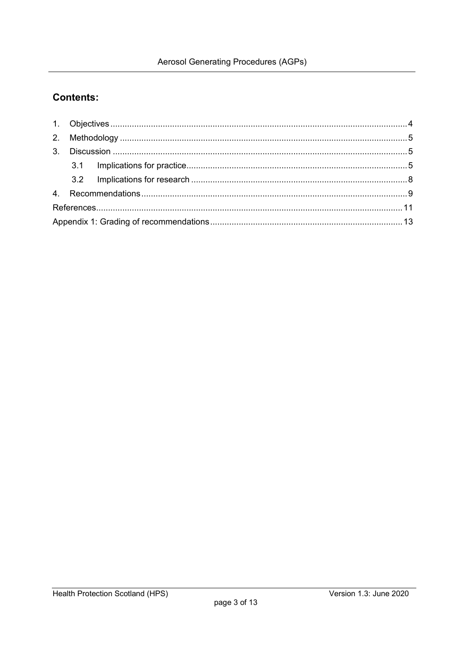## **Contents:**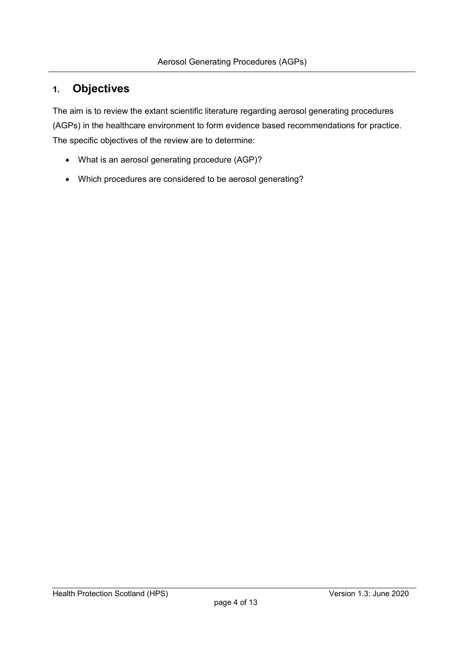## **1. Objectives**

The aim is to review the extant scientific literature regarding aerosol generating procedures (AGPs) in the healthcare environment to form evidence based recommendations for practice. The specific objectives of the review are to determine:

- What is an aerosol generating procedure (AGP)?
- Which procedures are considered to be aerosol generating?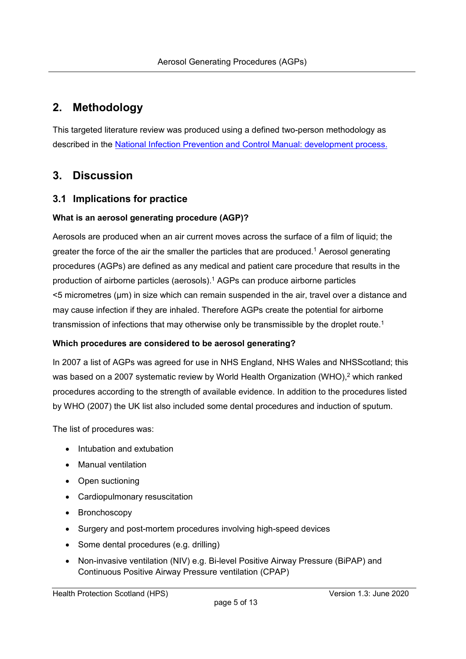## **2. Methodology**

This targeted literature review was produced using a defined two-person methodology as described in the National Infection Prevention and Control Manual: development process.

## **3. Discussion**

## **3.1 Implications for practice**

## **What is an aerosol generating procedure (AGP)?**

Aerosols are produced when an air current moves across the surface of a film of liquid; the greater the force of the air the smaller the particles that are produced.<sup>1</sup> Aerosol generating procedures (AGPs) are defined as any medical and patient care procedure that results in the production of airborne particles (aerosols).1 AGPs can produce airborne particles <5 micrometres (µm) in size which can remain suspended in the air, travel over a distance and may cause infection if they are inhaled. Therefore AGPs create the potential for airborne transmission of infections that may otherwise only be transmissible by the droplet route.<sup>1</sup>

## **Which procedures are considered to be aerosol generating?**

In 2007 a list of AGPs was agreed for use in NHS England, NHS Wales and NHSScotland; this was based on a 2007 systematic review by World Health Organization (WHO), $2$  which ranked procedures according to the strength of available evidence. In addition to the procedures listed by WHO (2007) the UK list also included some dental procedures and induction of sputum.

The list of procedures was:

- Intubation and extubation
- Manual ventilation
- Open suctioning
- Cardiopulmonary resuscitation
- Bronchoscopy
- Surgery and post-mortem procedures involving high-speed devices
- Some dental procedures (e.g. drilling)
- Non-invasive ventilation (NIV) e.g. Bi-level Positive Airway Pressure (BiPAP) and Continuous Positive Airway Pressure ventilation (CPAP)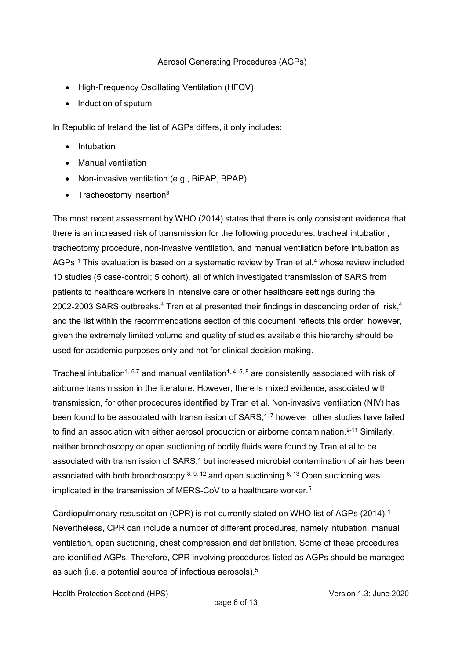- High-Frequency Oscillating Ventilation (HFOV)
- Induction of sputum

In Republic of Ireland the list of AGPs differs, it only includes:

- Intubation
- Manual ventilation
- Non-invasive ventilation (e.g., BiPAP, BPAP)
- Tracheostomy insertion<sup>3</sup>

The most recent assessment by WHO (2014) states that there is only consistent evidence that there is an increased risk of transmission for the following procedures: tracheal intubation, tracheotomy procedure, non-invasive ventilation, and manual ventilation before intubation as AGPs.<sup>1</sup> This evaluation is based on a systematic review by Tran et al.<sup>4</sup> whose review included 10 studies (5 case-control; 5 cohort), all of which investigated transmission of SARS from patients to healthcare workers in intensive care or other healthcare settings during the 2002-2003 SARS outbreaks. $4$  Tran et al presented their findings in descending order of risk, $4$ and the list within the recommendations section of this document reflects this order; however, given the extremely limited volume and quality of studies available this hierarchy should be used for academic purposes only and not for clinical decision making.

Tracheal intubation<sup>1, 5-7</sup> and manual ventilation<sup>1, 4, 5, 8</sup> are consistently associated with risk of airborne transmission in the literature. However, there is mixed evidence, associated with transmission, for other procedures identified by Tran et al. Non-invasive ventilation (NIV) has been found to be associated with transmission of SARS;<sup>4, 7</sup> however, other studies have failed to find an association with either aerosol production or airborne contamination.<sup>9-11</sup> Similarly, neither bronchoscopy or open suctioning of bodily fluids were found by Tran et al to be associated with transmission of SARS;<sup>4</sup> but increased microbial contamination of air has been associated with both bronchoscopy  $8, 9, 12$  and open suctioning.  $8, 13$  Open suctioning was implicated in the transmission of MERS-CoV to a healthcare worker.<sup>5</sup>

Cardiopulmonary resuscitation (CPR) is not currently stated on WHO list of AGPs (2014). 1 Nevertheless, CPR can include a number of different procedures, namely intubation, manual ventilation, open suctioning, chest compression and defibrillation. Some of these procedures are identified AGPs. Therefore, CPR involving procedures listed as AGPs should be managed as such (i.e. a potential source of infectious aerosols). 5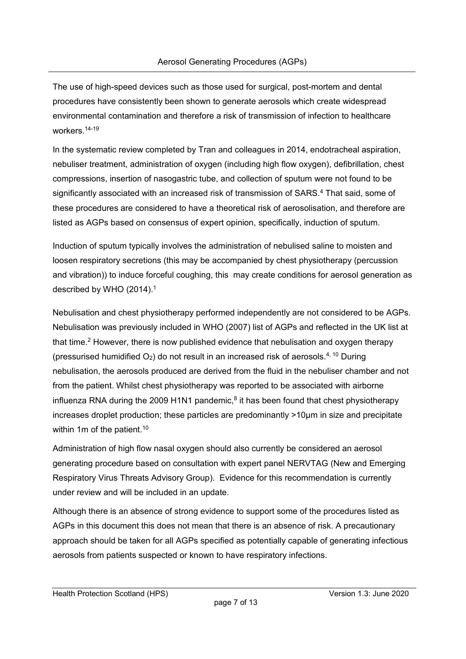The use of high-speed devices such as those used for surgical, post-mortem and dental procedures have consistently been shown to generate aerosols which create widespread environmental contamination and therefore a risk of transmission of infection to healthcare workers. 14-19

In the systematic review completed by Tran and colleagues in 2014, endotracheal aspiration, nebuliser treatment, administration of oxygen (including high flow oxygen), defibrillation, chest compressions, insertion of nasogastric tube, and collection of sputum were not found to be significantly associated with an increased risk of transmission of SARS.<sup>4</sup> That said, some of these procedures are considered to have a theoretical risk of aerosolisation, and therefore are listed as AGPs based on consensus of expert opinion, specifically, induction of sputum.

Induction of sputum typically involves the administration of nebulised saline to moisten and loosen respiratory secretions (this may be accompanied by chest physiotherapy (percussion and vibration)) to induce forceful coughing, this may create conditions for aerosol generation as described by WHO  $(2014).<sup>1</sup>$ 

Nebulisation and chest physiotherapy performed independently are not considered to be AGPs. Nebulisation was previously included in WHO (2007) list of AGPs and reflected in the UK list at that time.<sup>2</sup> However, there is now published evidence that nebulisation and oxygen therapy (pressurised humidified  $O_2$ ) do not result in an increased risk of aerosols.<sup>4, 10</sup> During nebulisation, the aerosols produced are derived from the fluid in the nebuliser chamber and not from the patient. Whilst chest physiotherapy was reported to be associated with airborne influenza RNA during the 2009 H1N1 pandemic,<sup>8</sup> it has been found that chest physiotherapy increases droplet production; these particles are predominantly >10µm in size and precipitate within 1m of the patient.<sup>10</sup>

Administration of high flow nasal oxygen should also currently be considered an aerosol generating procedure based on consultation with expert panel NERVTAG (New and Emerging Respiratory Virus Threats Advisory Group). Evidence for this recommendation is currently under review and will be included in an update.

Although there is an absence of strong evidence to support some of the procedures listed as AGPs in this document this does not mean that there is an absence of risk. A precautionary approach should be taken for all AGPs specified as potentially capable of generating infectious aerosols from patients suspected or known to have respiratory infections.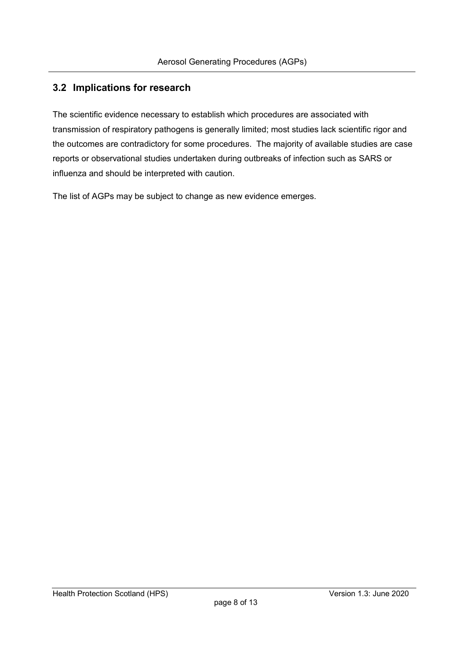## **3.2 Implications for research**

The scientific evidence necessary to establish which procedures are associated with transmission of respiratory pathogens is generally limited; most studies lack scientific rigor and the outcomes are contradictory for some procedures. The majority of available studies are case reports or observational studies undertaken during outbreaks of infection such as SARS or influenza and should be interpreted with caution.

The list of AGPs may be subject to change as new evidence emerges.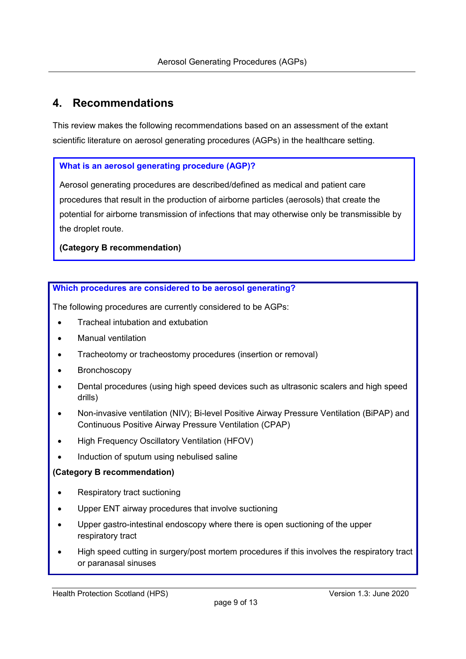## **4. Recommendations**

This review makes the following recommendations based on an assessment of the extant scientific literature on aerosol generating procedures (AGPs) in the healthcare setting.

### **What is an aerosol generating procedure (AGP)?**

Aerosol generating procedures are described/defined as medical and patient care procedures that result in the production of airborne particles (aerosols) that create the potential for airborne transmission of infections that may otherwise only be transmissible by the droplet route.

### **(Category B recommendation)**

#### **Which procedures are considered to be aerosol generating?**

The following procedures are currently considered to be AGPs:

- Tracheal intubation and extubation
- Manual ventilation
- Tracheotomy or tracheostomy procedures (insertion or removal)
- Bronchoscopy
- Dental procedures (using high speed devices such as ultrasonic scalers and high speed drills)
- Non-invasive ventilation (NIV); Bi-level Positive Airway Pressure Ventilation (BiPAP) and Continuous Positive Airway Pressure Ventilation (CPAP)
- High Frequency Oscillatory Ventilation (HFOV)
- Induction of sputum using nebulised saline

#### **(Category B recommendation)**

- Respiratory tract suctioning
- Upper ENT airway procedures that involve suctioning
- Upper gastro-intestinal endoscopy where there is open suctioning of the upper respiratory tract
- High speed cutting in surgery/post mortem procedures if this involves the respiratory tract or paranasal sinuses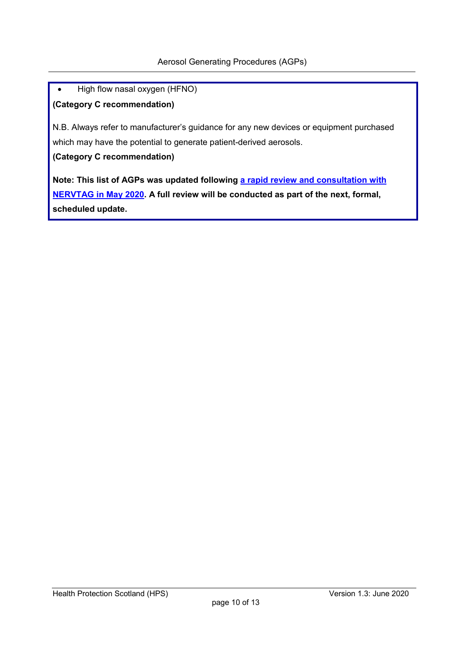• High flow nasal oxygen (HFNO)

### **(Category C recommendation)**

N.B. Always refer to manufacturer's guidance for any new devices or equipment purchased which may have the potential to generate patient-derived aerosols.

### **(Category C recommendation)**

**Note: This list of AGPs was updated following a rapid review and consultation with NERVTAG in May 2020. A full review will be conducted as part of the next, formal, scheduled update.**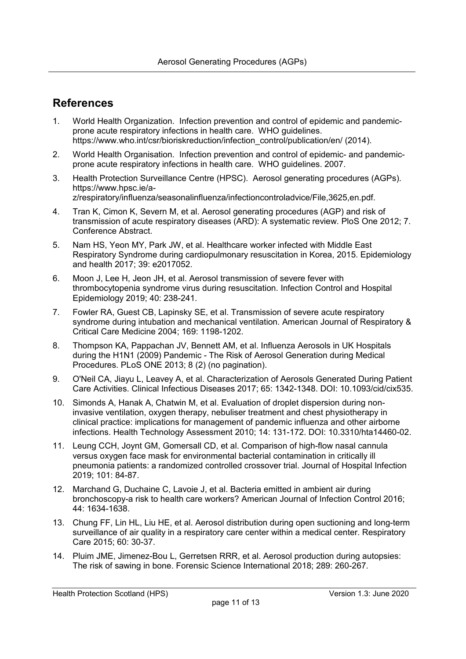## **References**

- 1. World Health Organization. Infection prevention and control of epidemic and pandemicprone acute respiratory infections in health care. WHO guidelines. https://www.who.int/csr/bioriskreduction/infection\_control/publication/en/ (2014).
- 2. World Health Organisation. Infection prevention and control of epidemic- and pandemicprone acute respiratory infections in health care. WHO guidelines. 2007.
- 3. Health Protection Surveillance Centre (HPSC). Aerosol generating procedures (AGPs). https://www.hpsc.ie/az/respiratory/influenza/seasonalinfluenza/infectioncontroladvice/File,3625,en.pdf.
- 4. Tran K, Cimon K, Severn M, et al. Aerosol generating procedures (AGP) and risk of transmission of acute respiratory diseases (ARD): A systematic review. PloS One 2012; 7. Conference Abstract.
- 5. Nam HS, Yeon MY, Park JW, et al. Healthcare worker infected with Middle East Respiratory Syndrome during cardiopulmonary resuscitation in Korea, 2015. Epidemiology and health 2017; 39: e2017052.
- 6. Moon J, Lee H, Jeon JH, et al. Aerosol transmission of severe fever with thrombocytopenia syndrome virus during resuscitation. Infection Control and Hospital Epidemiology 2019; 40: 238-241.
- 7. Fowler RA, Guest CB, Lapinsky SE, et al. Transmission of severe acute respiratory syndrome during intubation and mechanical ventilation. American Journal of Respiratory & Critical Care Medicine 2004; 169: 1198-1202.
- 8. Thompson KA, Pappachan JV, Bennett AM, et al. Influenza Aerosols in UK Hospitals during the H1N1 (2009) Pandemic - The Risk of Aerosol Generation during Medical Procedures. PLoS ONE 2013; 8 (2) (no pagination).
- 9. O'Neil CA, Jiayu L, Leavey A, et al. Characterization of Aerosols Generated During Patient Care Activities. Clinical Infectious Diseases 2017; 65: 1342-1348. DOI: 10.1093/cid/cix535.
- 10. Simonds A, Hanak A, Chatwin M, et al. Evaluation of droplet dispersion during noninvasive ventilation, oxygen therapy, nebuliser treatment and chest physiotherapy in clinical practice: implications for management of pandemic influenza and other airborne infections. Health Technology Assessment 2010; 14: 131-172. DOI: 10.3310/hta14460-02.
- 11. Leung CCH, Joynt GM, Gomersall CD, et al. Comparison of high-flow nasal cannula versus oxygen face mask for environmental bacterial contamination in critically ill pneumonia patients: a randomized controlled crossover trial. Journal of Hospital Infection 2019; 101: 84-87.
- 12. Marchand G, Duchaine C, Lavoie J, et al. Bacteria emitted in ambient air during bronchoscopy-a risk to health care workers? American Journal of Infection Control 2016; 44: 1634-1638.
- 13. Chung FF, Lin HL, Liu HE, et al. Aerosol distribution during open suctioning and long-term surveillance of air quality in a respiratory care center within a medical center. Respiratory Care 2015; 60: 30-37.
- 14. Pluim JME, Jimenez-Bou L, Gerretsen RRR, et al. Aerosol production during autopsies: The risk of sawing in bone. Forensic Science International 2018; 289: 260-267.

Health Protection Scotland (HPS) New York 1.3: June 2020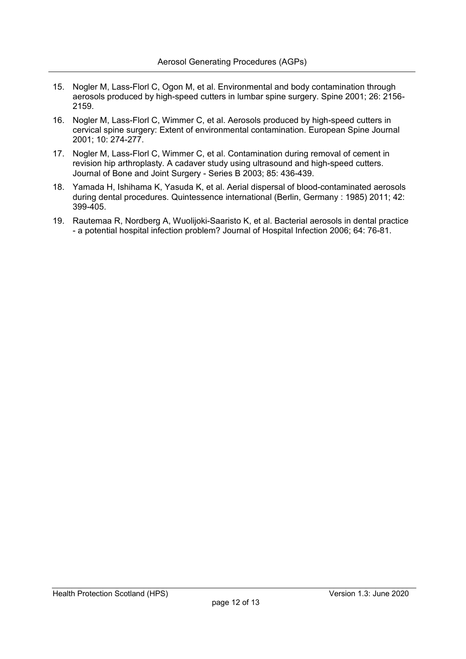- 15. Nogler M, Lass-Florl C, Ogon M, et al. Environmental and body contamination through aerosols produced by high-speed cutters in lumbar spine surgery. Spine 2001; 26: 2156- 2159.
- 16. Nogler M, Lass-Florl C, Wimmer C, et al. Aerosols produced by high-speed cutters in cervical spine surgery: Extent of environmental contamination. European Spine Journal 2001; 10: 274-277.
- 17. Nogler M, Lass-Florl C, Wimmer C, et al. Contamination during removal of cement in revision hip arthroplasty. A cadaver study using ultrasound and high-speed cutters. Journal of Bone and Joint Surgery - Series B 2003; 85: 436-439.
- 18. Yamada H, Ishihama K, Yasuda K, et al. Aerial dispersal of blood-contaminated aerosols during dental procedures. Quintessence international (Berlin, Germany : 1985) 2011; 42: 399-405.
- 19. Rautemaa R, Nordberg A, Wuolijoki-Saaristo K, et al. Bacterial aerosols in dental practice - a potential hospital infection problem? Journal of Hospital Infection 2006; 64: 76-81.